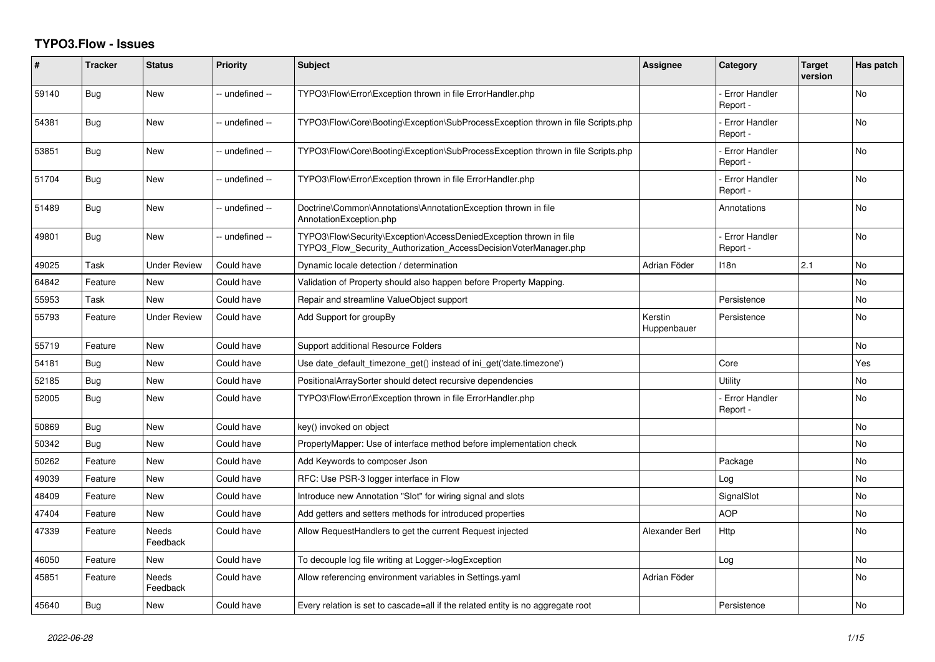## **TYPO3.Flow - Issues**

| #     | <b>Tracker</b> | <b>Status</b>       | <b>Priority</b> | <b>Subject</b>                                                                                                                         | <b>Assignee</b>        | Category                         | <b>Target</b><br>version | Has patch      |
|-------|----------------|---------------------|-----------------|----------------------------------------------------------------------------------------------------------------------------------------|------------------------|----------------------------------|--------------------------|----------------|
| 59140 | Bug            | <b>New</b>          | -- undefined -- | TYPO3\Flow\Error\Exception thrown in file ErrorHandler.php                                                                             |                        | Error Handler<br>Report -        |                          | <b>No</b>      |
| 54381 | Bug            | New                 | -- undefined -- | TYPO3\Flow\Core\Booting\Exception\SubProcessException thrown in file Scripts.php                                                       |                        | <b>Error Handler</b><br>Report - |                          | No             |
| 53851 | Bug            | <b>New</b>          | -- undefined -- | TYPO3\Flow\Core\Booting\Exception\SubProcessException thrown in file Scripts.php                                                       |                        | <b>Error Handler</b><br>Report - |                          | <b>No</b>      |
| 51704 | Bug            | New                 | -- undefined -- | TYPO3\Flow\Error\Exception thrown in file ErrorHandler.php                                                                             |                        | <b>Error Handler</b><br>Report - |                          | <b>No</b>      |
| 51489 | Bug            | New                 | -- undefined -- | Doctrine\Common\Annotations\AnnotationException thrown in file<br>AnnotationException.php                                              |                        | Annotations                      |                          | No             |
| 49801 | Bug            | <b>New</b>          | -- undefined -- | TYPO3\Flow\Security\Exception\AccessDeniedException thrown in file<br>TYPO3 Flow Security Authorization AccessDecisionVoterManager.php |                        | <b>Error Handler</b><br>Report - |                          | <b>No</b>      |
| 49025 | Task           | <b>Under Review</b> | Could have      | Dynamic locale detection / determination                                                                                               | Adrian Föder           | 118n                             | 2.1                      | No             |
| 64842 | Feature        | <b>New</b>          | Could have      | Validation of Property should also happen before Property Mapping.                                                                     |                        |                                  |                          | <b>No</b>      |
| 55953 | Task           | <b>New</b>          | Could have      | Repair and streamline ValueObject support                                                                                              |                        | Persistence                      |                          | <b>No</b>      |
| 55793 | Feature        | <b>Under Review</b> | Could have      | Add Support for groupBy                                                                                                                | Kerstin<br>Huppenbauer | Persistence                      |                          | No             |
| 55719 | Feature        | <b>New</b>          | Could have      | Support additional Resource Folders                                                                                                    |                        |                                  |                          | <b>No</b>      |
| 54181 | Bug            | New                 | Could have      | Use date default timezone get() instead of ini get('date.timezone')                                                                    |                        | Core                             |                          | Yes            |
| 52185 | Bug            | New                 | Could have      | PositionalArraySorter should detect recursive dependencies                                                                             |                        | Utility                          |                          | No             |
| 52005 | Bug            | New                 | Could have      | TYPO3\Flow\Error\Exception thrown in file ErrorHandler.php                                                                             |                        | <b>Error Handler</b><br>Report - |                          | <b>No</b>      |
| 50869 | Bug            | New                 | Could have      | key() invoked on object                                                                                                                |                        |                                  |                          | No             |
| 50342 | Bug            | New                 | Could have      | PropertyMapper: Use of interface method before implementation check                                                                    |                        |                                  |                          | <b>No</b>      |
| 50262 | Feature        | New                 | Could have      | Add Keywords to composer Json                                                                                                          |                        | Package                          |                          | No             |
| 49039 | Feature        | New                 | Could have      | RFC: Use PSR-3 logger interface in Flow                                                                                                |                        | Log                              |                          | No             |
| 48409 | Feature        | New                 | Could have      | Introduce new Annotation "Slot" for wiring signal and slots                                                                            |                        | SignalSlot                       |                          | <b>No</b>      |
| 47404 | Feature        | New                 | Could have      | Add getters and setters methods for introduced properties                                                                              |                        | <b>AOP</b>                       |                          | No             |
| 47339 | Feature        | Needs<br>Feedback   | Could have      | Allow RequestHandlers to get the current Request injected                                                                              | Alexander Berl         | Http                             |                          | <b>No</b>      |
| 46050 | Feature        | New                 | Could have      | To decouple log file writing at Logger->logException                                                                                   |                        | Log                              |                          | <b>No</b>      |
| 45851 | Feature        | Needs<br>Feedback   | Could have      | Allow referencing environment variables in Settings.yaml                                                                               | Adrian Föder           |                                  |                          | No             |
| 45640 | Bug            | <b>New</b>          | Could have      | Every relation is set to cascade=all if the related entity is no aggregate root                                                        |                        | Persistence                      |                          | N <sub>o</sub> |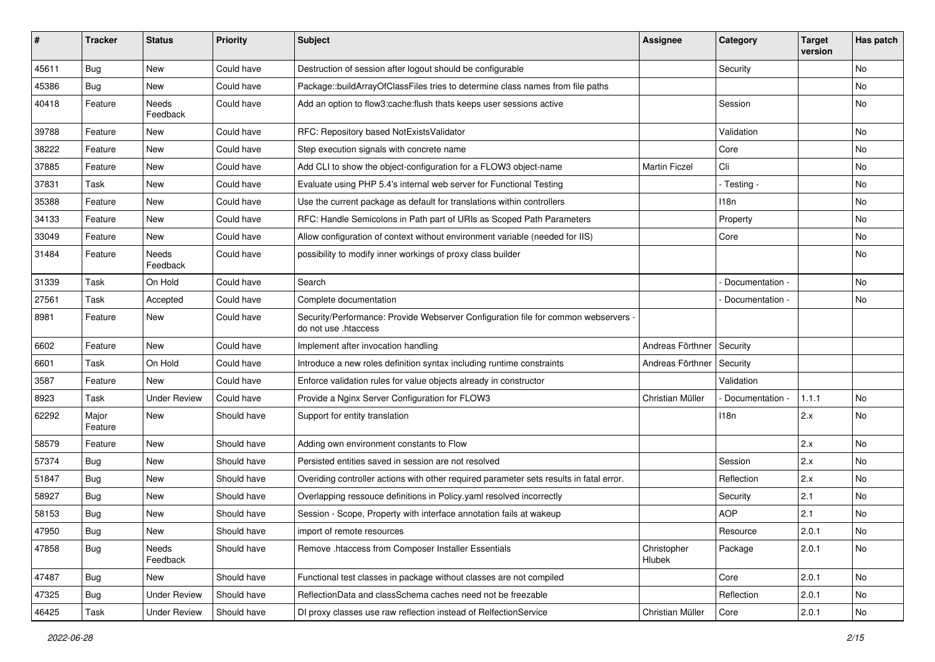| #     | <b>Tracker</b>   | <b>Status</b>       | <b>Priority</b> | <b>Subject</b>                                                                                             | <b>Assignee</b>       | Category          | <b>Target</b><br>version | Has patch |
|-------|------------------|---------------------|-----------------|------------------------------------------------------------------------------------------------------------|-----------------------|-------------------|--------------------------|-----------|
| 45611 | Bug              | New                 | Could have      | Destruction of session after logout should be configurable                                                 |                       | Security          |                          | No        |
| 45386 | <b>Bug</b>       | New                 | Could have      | Package::buildArrayOfClassFiles tries to determine class names from file paths                             |                       |                   |                          | No        |
| 40418 | Feature          | Needs<br>Feedback   | Could have      | Add an option to flow3:cache:flush thats keeps user sessions active                                        |                       | Session           |                          | No        |
| 39788 | Feature          | New                 | Could have      | RFC: Repository based NotExistsValidator                                                                   |                       | Validation        |                          | No        |
| 38222 | Feature          | New                 | Could have      | Step execution signals with concrete name                                                                  |                       | Core              |                          | <b>No</b> |
| 37885 | Feature          | New                 | Could have      | Add CLI to show the object-configuration for a FLOW3 object-name                                           | <b>Martin Ficzel</b>  | Cli               |                          | No        |
| 37831 | Task             | New                 | Could have      | Evaluate using PHP 5.4's internal web server for Functional Testing                                        |                       | - Testing -       |                          | No        |
| 35388 | Feature          | New                 | Could have      | Use the current package as default for translations within controllers                                     |                       | 118n              |                          | No        |
| 34133 | Feature          | New                 | Could have      | RFC: Handle Semicolons in Path part of URIs as Scoped Path Parameters                                      |                       | Property          |                          | No        |
| 33049 | Feature          | New                 | Could have      | Allow configuration of context without environment variable (needed for IIS)                               |                       | Core              |                          | No        |
| 31484 | Feature          | Needs<br>Feedback   | Could have      | possibility to modify inner workings of proxy class builder                                                |                       |                   |                          | No        |
| 31339 | Task             | On Hold             | Could have      | Search                                                                                                     |                       | Documentation -   |                          | <b>No</b> |
| 27561 | Task             | Accepted            | Could have      | Complete documentation                                                                                     |                       | Documentation -   |                          | No        |
| 8981  | Feature          | New                 | Could have      | Security/Performance: Provide Webserver Configuration file for common webservers -<br>do not use .htaccess |                       |                   |                          |           |
| 6602  | Feature          | <b>New</b>          | Could have      | Implement after invocation handling                                                                        | Andreas Förthner      | Security          |                          |           |
| 6601  | Task             | On Hold             | Could have      | Introduce a new roles definition syntax including runtime constraints                                      | Andreas Förthner      | Security          |                          |           |
| 3587  | Feature          | New                 | Could have      | Enforce validation rules for value objects already in constructor                                          |                       | Validation        |                          |           |
| 8923  | Task             | <b>Under Review</b> | Could have      | Provide a Nginx Server Configuration for FLOW3                                                             | Christian Müller      | - Documentation - | 1.1.1                    | No        |
| 62292 | Major<br>Feature | New                 | Should have     | Support for entity translation                                                                             |                       | 118n              | 2.x                      | No        |
| 58579 | Feature          | New                 | Should have     | Adding own environment constants to Flow                                                                   |                       |                   | 2.x                      | No        |
| 57374 | Bug              | New                 | Should have     | Persisted entities saved in session are not resolved                                                       |                       | Session           | 2.x                      | No        |
| 51847 | <b>Bug</b>       | New                 | Should have     | Overiding controller actions with other required parameter sets results in fatal error.                    |                       | Reflection        | 2.x                      | No        |
| 58927 | <b>Bug</b>       | New                 | Should have     | Overlapping ressouce definitions in Policy.yaml resolved incorrectly                                       |                       | Security          | 2.1                      | No        |
| 58153 | <b>Bug</b>       | New                 | Should have     | Session - Scope, Property with interface annotation fails at wakeup                                        |                       | <b>AOP</b>        | 2.1                      | No        |
| 47950 | <b>Bug</b>       | New                 | Should have     | import of remote resources                                                                                 |                       | Resource          | 2.0.1                    | N0        |
| 47858 | Bug              | Needs<br>Feedback   | Should have     | Remove .htaccess from Composer Installer Essentials                                                        | Christopher<br>Hlubek | Package           | 2.0.1                    | No        |
| 47487 | Bug              | New                 | Should have     | Functional test classes in package without classes are not compiled                                        |                       | Core              | 2.0.1                    | No        |
| 47325 | <b>Bug</b>       | <b>Under Review</b> | Should have     | ReflectionData and classSchema caches need not be freezable                                                |                       | Reflection        | 2.0.1                    | No        |
| 46425 | Task             | <b>Under Review</b> | Should have     | DI proxy classes use raw reflection instead of RelfectionService                                           | Christian Müller      | Core              | 2.0.1                    | No        |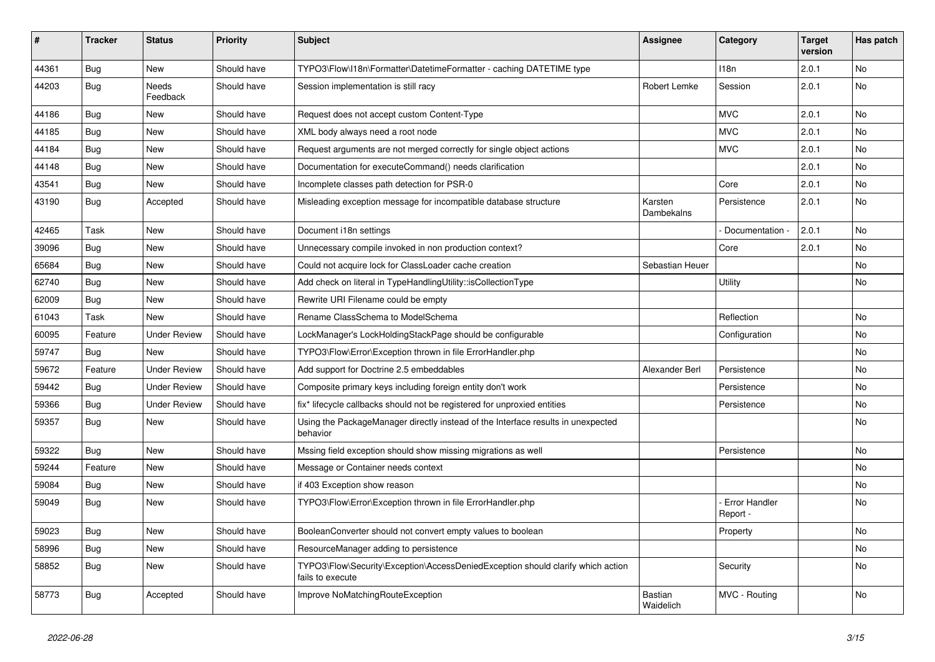| #     | <b>Tracker</b> | <b>Status</b>       | <b>Priority</b> | <b>Subject</b>                                                                                      | <b>Assignee</b>              | Category                  | <b>Target</b><br>version | Has patch |
|-------|----------------|---------------------|-----------------|-----------------------------------------------------------------------------------------------------|------------------------------|---------------------------|--------------------------|-----------|
| 44361 | Bug            | <b>New</b>          | Should have     | TYPO3\Flow\I18n\Formatter\DatetimeFormatter - caching DATETIME type                                 |                              | 118n                      | 2.0.1                    | <b>No</b> |
| 44203 | Bug            | Needs<br>Feedback   | Should have     | Session implementation is still racy                                                                | Robert Lemke                 | Session                   | 2.0.1                    | <b>No</b> |
| 44186 | Bug            | <b>New</b>          | Should have     | Request does not accept custom Content-Type                                                         |                              | <b>MVC</b>                | 2.0.1                    | <b>No</b> |
| 44185 | Bug            | <b>New</b>          | Should have     | XML body always need a root node                                                                    |                              | <b>MVC</b>                | 2.0.1                    | No        |
| 44184 | Bug            | <b>New</b>          | Should have     | Request arguments are not merged correctly for single object actions                                |                              | <b>MVC</b>                | 2.0.1                    | No        |
| 44148 | Bug            | <b>New</b>          | Should have     | Documentation for executeCommand() needs clarification                                              |                              |                           | 2.0.1                    | <b>No</b> |
| 43541 | Bug            | <b>New</b>          | Should have     | Incomplete classes path detection for PSR-0                                                         |                              | Core                      | 2.0.1                    | <b>No</b> |
| 43190 | <b>Bug</b>     | Accepted            | Should have     | Misleading exception message for incompatible database structure                                    | Karsten<br><b>Dambekalns</b> | Persistence               | 2.0.1                    | <b>No</b> |
| 42465 | Task           | <b>New</b>          | Should have     | Document i18n settings                                                                              |                              | Documentation -           | 2.0.1                    | No        |
| 39096 | Bug            | <b>New</b>          | Should have     | Unnecessary compile invoked in non production context?                                              |                              | Core                      | 2.0.1                    | No        |
| 65684 | Bug            | <b>New</b>          | Should have     | Could not acquire lock for ClassLoader cache creation                                               | Sebastian Heuer              |                           |                          | No        |
| 62740 | Bug            | <b>New</b>          | Should have     | Add check on literal in TypeHandlingUtility::isCollectionType                                       |                              | Utility                   |                          | No        |
| 62009 | Bug            | <b>New</b>          | Should have     | Rewrite URI Filename could be empty                                                                 |                              |                           |                          |           |
| 61043 | Task           | <b>New</b>          | Should have     | Rename ClassSchema to ModelSchema                                                                   |                              | Reflection                |                          | <b>No</b> |
| 60095 | Feature        | <b>Under Review</b> | Should have     | LockManager's LockHoldingStackPage should be configurable                                           |                              | Configuration             |                          | No        |
| 59747 | Bug            | <b>New</b>          | Should have     | TYPO3\Flow\Error\Exception thrown in file ErrorHandler.php                                          |                              |                           |                          | No        |
| 59672 | Feature        | <b>Under Review</b> | Should have     | Add support for Doctrine 2.5 embeddables                                                            | Alexander Berl               | Persistence               |                          | No        |
| 59442 | Bug            | <b>Under Review</b> | Should have     | Composite primary keys including foreign entity don't work                                          |                              | Persistence               |                          | <b>No</b> |
| 59366 | Bug            | <b>Under Review</b> | Should have     | fix* lifecycle callbacks should not be registered for unproxied entities                            |                              | Persistence               |                          | No        |
| 59357 | Bug            | New                 | Should have     | Using the PackageManager directly instead of the Interface results in unexpected<br>behavior        |                              |                           |                          | No        |
| 59322 | Bug            | <b>New</b>          | Should have     | Mssing field exception should show missing migrations as well                                       |                              | Persistence               |                          | <b>No</b> |
| 59244 | Feature        | <b>New</b>          | Should have     | Message or Container needs context                                                                  |                              |                           |                          | No        |
| 59084 | Bug            | <b>New</b>          | Should have     | if 403 Exception show reason                                                                        |                              |                           |                          | No        |
| 59049 | Bug            | <b>New</b>          | Should have     | TYPO3\Flow\Error\Exception thrown in file ErrorHandler.php                                          |                              | Error Handler<br>Report - |                          | No        |
| 59023 | Bug            | <b>New</b>          | Should have     | BooleanConverter should not convert empty values to boolean                                         |                              | Property                  |                          | No        |
| 58996 | Bug            | New                 | Should have     | ResourceManager adding to persistence                                                               |                              |                           |                          | No        |
| 58852 | <b>Bug</b>     | New                 | Should have     | TYPO3\Flow\Security\Exception\AccessDeniedException should clarify which action<br>fails to execute |                              | Security                  |                          | No        |
| 58773 | Bug            | Accepted            | Should have     | Improve NoMatchingRouteException                                                                    | Bastian<br>Waidelich         | MVC - Routing             |                          | No        |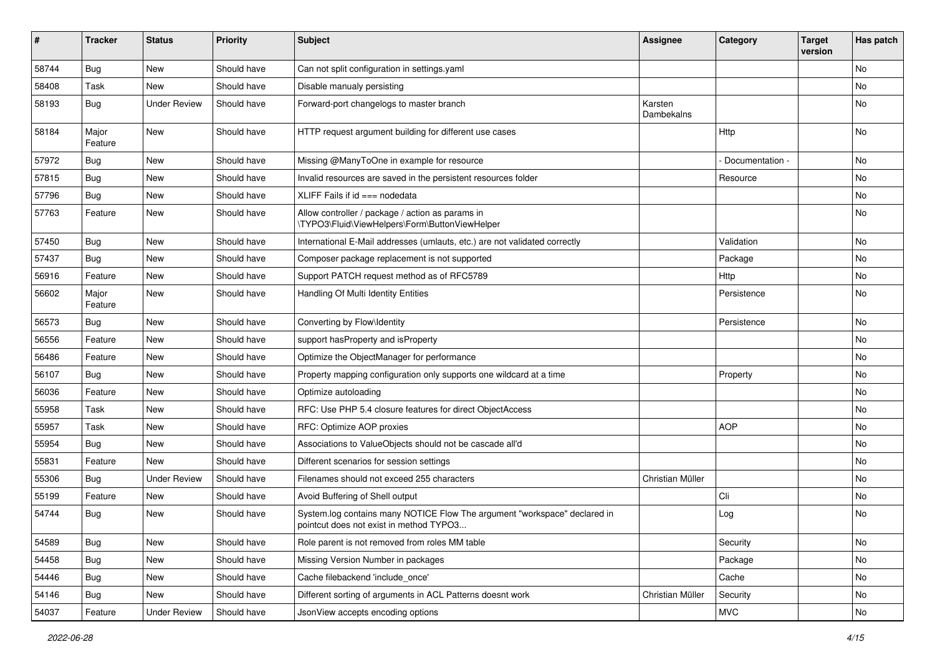| #     | <b>Tracker</b>   | <b>Status</b>       | <b>Priority</b> | <b>Subject</b>                                                                                                       | Assignee              | Category        | <b>Target</b><br>version | Has patch |
|-------|------------------|---------------------|-----------------|----------------------------------------------------------------------------------------------------------------------|-----------------------|-----------------|--------------------------|-----------|
| 58744 | Bug              | <b>New</b>          | Should have     | Can not split configuration in settings.yaml                                                                         |                       |                 |                          | No        |
| 58408 | Task             | <b>New</b>          | Should have     | Disable manualy persisting                                                                                           |                       |                 |                          | No        |
| 58193 | Bug              | <b>Under Review</b> | Should have     | Forward-port changelogs to master branch                                                                             | Karsten<br>Dambekalns |                 |                          | No        |
| 58184 | Major<br>Feature | <b>New</b>          | Should have     | HTTP request argument building for different use cases                                                               |                       | Http            |                          | No        |
| 57972 | Bug              | New                 | Should have     | Missing @ManyToOne in example for resource                                                                           |                       | Documentation - |                          | No        |
| 57815 | Bug              | New                 | Should have     | Invalid resources are saved in the persistent resources folder                                                       |                       | Resource        |                          | No        |
| 57796 | <b>Bug</b>       | <b>New</b>          | Should have     | XLIFF Fails if $id ==$ nodedata                                                                                      |                       |                 |                          | No        |
| 57763 | Feature          | New                 | Should have     | Allow controller / package / action as params in<br>\TYPO3\Fluid\ViewHelpers\Form\ButtonViewHelper                   |                       |                 |                          | No        |
| 57450 | Bug              | <b>New</b>          | Should have     | International E-Mail addresses (umlauts, etc.) are not validated correctly                                           |                       | Validation      |                          | No        |
| 57437 | Bug              | New                 | Should have     | Composer package replacement is not supported                                                                        |                       | Package         |                          | No        |
| 56916 | Feature          | <b>New</b>          | Should have     | Support PATCH request method as of RFC5789                                                                           |                       | Http            |                          | No        |
| 56602 | Major<br>Feature | New                 | Should have     | Handling Of Multi Identity Entities                                                                                  |                       | Persistence     |                          | No        |
| 56573 | Bug              | <b>New</b>          | Should have     | Converting by Flow\Identity                                                                                          |                       | Persistence     |                          | No        |
| 56556 | Feature          | New                 | Should have     | support hasProperty and isProperty                                                                                   |                       |                 |                          | No        |
| 56486 | Feature          | New                 | Should have     | Optimize the ObjectManager for performance                                                                           |                       |                 |                          | No        |
| 56107 | Bug              | <b>New</b>          | Should have     | Property mapping configuration only supports one wildcard at a time                                                  |                       | Property        |                          | No        |
| 56036 | Feature          | New                 | Should have     | Optimize autoloading                                                                                                 |                       |                 |                          | No        |
| 55958 | Task             | <b>New</b>          | Should have     | RFC: Use PHP 5.4 closure features for direct ObjectAccess                                                            |                       |                 |                          | No        |
| 55957 | Task             | New                 | Should have     | RFC: Optimize AOP proxies                                                                                            |                       | <b>AOP</b>      |                          | No        |
| 55954 | Bug              | New                 | Should have     | Associations to ValueObjects should not be cascade all'd                                                             |                       |                 |                          | No        |
| 55831 | Feature          | <b>New</b>          | Should have     | Different scenarios for session settings                                                                             |                       |                 |                          | No        |
| 55306 | Bug              | <b>Under Review</b> | Should have     | Filenames should not exceed 255 characters                                                                           | Christian Müller      |                 |                          | No        |
| 55199 | Feature          | New                 | Should have     | Avoid Buffering of Shell output                                                                                      |                       | Cli             |                          | No        |
| 54744 | Bug              | New                 | Should have     | System.log contains many NOTICE Flow The argument "workspace" declared in<br>pointcut does not exist in method TYPO3 |                       | Log             |                          | No        |
| 54589 | <b>Bug</b>       | New                 | Should have     | Role parent is not removed from roles MM table                                                                       |                       | Security        |                          | No        |
| 54458 | <b>Bug</b>       | New                 | Should have     | Missing Version Number in packages                                                                                   |                       | Package         |                          | No        |
| 54446 | <b>Bug</b>       | New                 | Should have     | Cache filebackend 'include_once'                                                                                     |                       | Cache           |                          | No        |
| 54146 | <b>Bug</b>       | <b>New</b>          | Should have     | Different sorting of arguments in ACL Patterns doesnt work                                                           | Christian Müller      | Security        |                          | No        |
| 54037 | Feature          | <b>Under Review</b> | Should have     | JsonView accepts encoding options                                                                                    |                       | <b>MVC</b>      |                          | No        |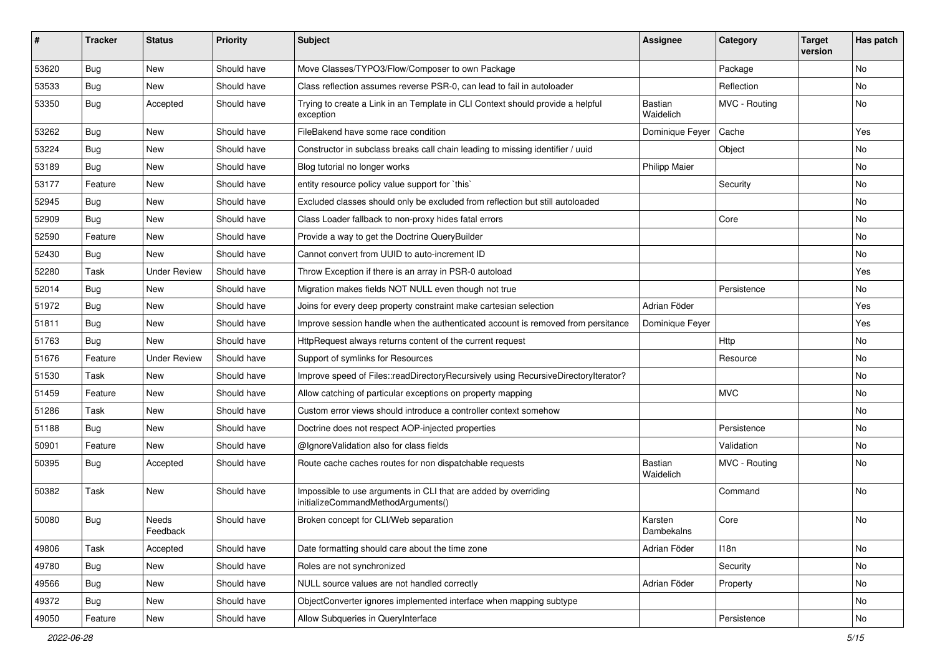| ∦     | <b>Tracker</b> | <b>Status</b>       | <b>Priority</b> | Subject                                                                                               | <b>Assignee</b>             | Category      | <b>Target</b><br>version | Has patch |
|-------|----------------|---------------------|-----------------|-------------------------------------------------------------------------------------------------------|-----------------------------|---------------|--------------------------|-----------|
| 53620 | Bug            | New                 | Should have     | Move Classes/TYPO3/Flow/Composer to own Package                                                       |                             | Package       |                          | <b>No</b> |
| 53533 | <b>Bug</b>     | <b>New</b>          | Should have     | Class reflection assumes reverse PSR-0, can lead to fail in autoloader                                |                             | Reflection    |                          | No        |
| 53350 | <b>Bug</b>     | Accepted            | Should have     | Trying to create a Link in an Template in CLI Context should provide a helpful<br>exception           | <b>Bastian</b><br>Waidelich | MVC - Routing |                          | <b>No</b> |
| 53262 | Bug            | <b>New</b>          | Should have     | FileBakend have some race condition                                                                   | Dominique Feyer             | Cache         |                          | Yes       |
| 53224 | Bug            | <b>New</b>          | Should have     | Constructor in subclass breaks call chain leading to missing identifier / uuid                        |                             | Object        |                          | No        |
| 53189 | Bug            | New                 | Should have     | Blog tutorial no longer works                                                                         | <b>Philipp Maier</b>        |               |                          | No        |
| 53177 | Feature        | New                 | Should have     | entity resource policy value support for `this`                                                       |                             | Security      |                          | <b>No</b> |
| 52945 | Bug            | New                 | Should have     | Excluded classes should only be excluded from reflection but still autoloaded                         |                             |               |                          | No        |
| 52909 | Bug            | New                 | Should have     | Class Loader fallback to non-proxy hides fatal errors                                                 |                             | Core          |                          | <b>No</b> |
| 52590 | Feature        | New                 | Should have     | Provide a way to get the Doctrine QueryBuilder                                                        |                             |               |                          | No        |
| 52430 | Bug            | <b>New</b>          | Should have     | Cannot convert from UUID to auto-increment ID                                                         |                             |               |                          | <b>No</b> |
| 52280 | Task           | <b>Under Review</b> | Should have     | Throw Exception if there is an array in PSR-0 autoload                                                |                             |               |                          | Yes       |
| 52014 | Bug            | <b>New</b>          | Should have     | Migration makes fields NOT NULL even though not true                                                  |                             | Persistence   |                          | No        |
| 51972 | <b>Bug</b>     | New                 | Should have     | Joins for every deep property constraint make cartesian selection                                     | Adrian Föder                |               |                          | Yes       |
| 51811 | Bug            | New                 | Should have     | Improve session handle when the authenticated account is removed from persitance                      | Dominique Feyer             |               |                          | Yes       |
| 51763 | Bug            | <b>New</b>          | Should have     | HttpRequest always returns content of the current request                                             |                             | Http          |                          | <b>No</b> |
| 51676 | Feature        | <b>Under Review</b> | Should have     | Support of symlinks for Resources                                                                     |                             | Resource      |                          | No        |
| 51530 | Task           | <b>New</b>          | Should have     | Improve speed of Files::readDirectoryRecursively using RecursiveDirectoryIterator?                    |                             |               |                          | <b>No</b> |
| 51459 | Feature        | New                 | Should have     | Allow catching of particular exceptions on property mapping                                           |                             | <b>MVC</b>    |                          | No        |
| 51286 | Task           | <b>New</b>          | Should have     | Custom error views should introduce a controller context somehow                                      |                             |               |                          | No        |
| 51188 | Bug            | New                 | Should have     | Doctrine does not respect AOP-injected properties                                                     |                             | Persistence   |                          | No        |
| 50901 | Feature        | <b>New</b>          | Should have     | @IgnoreValidation also for class fields                                                               |                             | Validation    |                          | No        |
| 50395 | <b>Bug</b>     | Accepted            | Should have     | Route cache caches routes for non dispatchable requests                                               | <b>Bastian</b><br>Waidelich | MVC - Routing |                          | <b>No</b> |
| 50382 | Task           | New                 | Should have     | Impossible to use arguments in CLI that are added by overriding<br>initializeCommandMethodArguments() |                             | Command       |                          | <b>No</b> |
| 50080 | Bug            | Needs<br>Feedback   | Should have     | Broken concept for CLI/Web separation                                                                 | Karsten<br>Dambekalns       | Core          |                          | No        |
| 49806 | Task           | Accepted            | Should have     | Date formatting should care about the time zone                                                       | Adrian Föder                | 118n          |                          | No        |
| 49780 | <b>Bug</b>     | New                 | Should have     | Roles are not synchronized                                                                            |                             | Security      |                          | No        |
| 49566 | <b>Bug</b>     | New                 | Should have     | NULL source values are not handled correctly                                                          | Adrian Föder                | Property      |                          | No        |
| 49372 | <b>Bug</b>     | New                 | Should have     | ObjectConverter ignores implemented interface when mapping subtype                                    |                             |               |                          | No        |
| 49050 | Feature        | New                 | Should have     | Allow Subqueries in QueryInterface                                                                    |                             | Persistence   |                          | No        |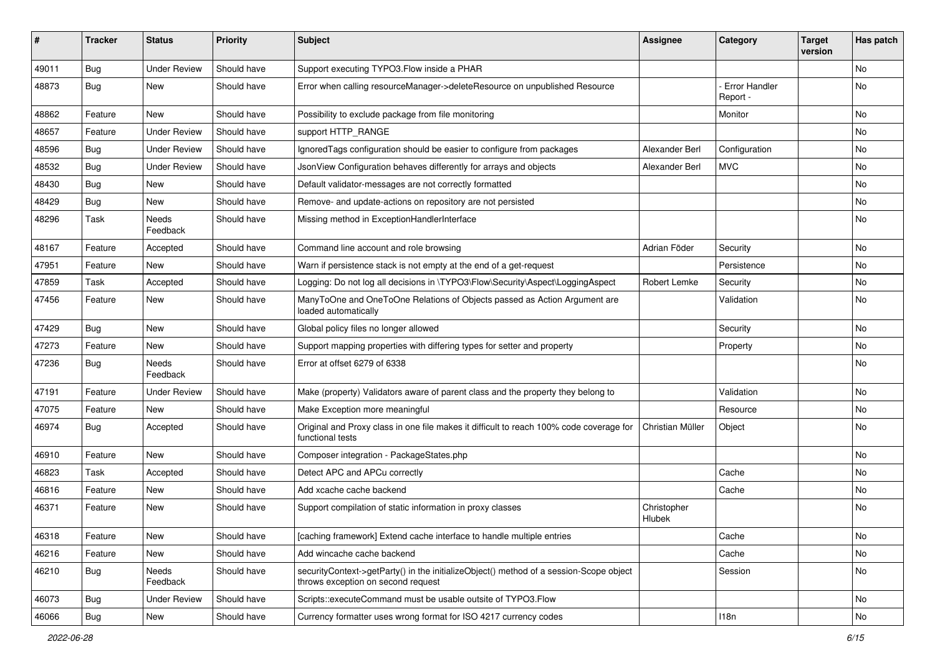| ∦     | <b>Tracker</b> | <b>Status</b>            | <b>Priority</b> | <b>Subject</b>                                                                                                               | <b>Assignee</b>       | Category                         | <b>Target</b><br>version | Has patch |
|-------|----------------|--------------------------|-----------------|------------------------------------------------------------------------------------------------------------------------------|-----------------------|----------------------------------|--------------------------|-----------|
| 49011 | Bug            | <b>Under Review</b>      | Should have     | Support executing TYPO3. Flow inside a PHAR                                                                                  |                       |                                  |                          | No        |
| 48873 | <b>Bug</b>     | New                      | Should have     | Error when calling resourceManager->deleteResource on unpublished Resource                                                   |                       | <b>Error Handler</b><br>Report - |                          | <b>No</b> |
| 48862 | Feature        | <b>New</b>               | Should have     | Possibility to exclude package from file monitoring                                                                          |                       | Monitor                          |                          | <b>No</b> |
| 48657 | Feature        | <b>Under Review</b>      | Should have     | support HTTP RANGE                                                                                                           |                       |                                  |                          | No        |
| 48596 | Bug            | <b>Under Review</b>      | Should have     | Ignored Tags configuration should be easier to configure from packages                                                       | Alexander Berl        | Configuration                    |                          | <b>No</b> |
| 48532 | <b>Bug</b>     | <b>Under Review</b>      | Should have     | JsonView Configuration behaves differently for arrays and objects                                                            | Alexander Berl        | <b>MVC</b>                       |                          | No        |
| 48430 | <b>Bug</b>     | New                      | Should have     | Default validator-messages are not correctly formatted                                                                       |                       |                                  |                          | <b>No</b> |
| 48429 | Bug            | <b>New</b>               | Should have     | Remove- and update-actions on repository are not persisted                                                                   |                       |                                  |                          | No        |
| 48296 | Task           | Needs<br>Feedback        | Should have     | Missing method in ExceptionHandlerInterface                                                                                  |                       |                                  |                          | No        |
| 48167 | Feature        | Accepted                 | Should have     | Command line account and role browsing                                                                                       | Adrian Föder          | Security                         |                          | <b>No</b> |
| 47951 | Feature        | New                      | Should have     | Warn if persistence stack is not empty at the end of a get-request                                                           |                       | Persistence                      |                          | No        |
| 47859 | Task           | Accepted                 | Should have     | Logging: Do not log all decisions in \TYPO3\Flow\Security\Aspect\LoggingAspect                                               | Robert Lemke          | Security                         |                          | <b>No</b> |
| 47456 | Feature        | New                      | Should have     | ManyToOne and OneToOne Relations of Objects passed as Action Argument are<br>loaded automatically                            |                       | Validation                       |                          | No        |
| 47429 | Bug            | <b>New</b>               | Should have     | Global policy files no longer allowed                                                                                        |                       | Security                         |                          | No        |
| 47273 | Feature        | <b>New</b>               | Should have     | Support mapping properties with differing types for setter and property                                                      |                       | Property                         |                          | <b>No</b> |
| 47236 | <b>Bug</b>     | <b>Needs</b><br>Feedback | Should have     | Error at offset 6279 of 6338                                                                                                 |                       |                                  |                          | No        |
| 47191 | Feature        | <b>Under Review</b>      | Should have     | Make (property) Validators aware of parent class and the property they belong to                                             |                       | Validation                       |                          | No        |
| 47075 | Feature        | <b>New</b>               | Should have     | Make Exception more meaningful                                                                                               |                       | Resource                         |                          | <b>No</b> |
| 46974 | <b>Bug</b>     | Accepted                 | Should have     | Original and Proxy class in one file makes it difficult to reach 100% code coverage for<br>functional tests                  | Christian Müller      | Object                           |                          | No        |
| 46910 | Feature        | <b>New</b>               | Should have     | Composer integration - PackageStates.php                                                                                     |                       |                                  |                          | No        |
| 46823 | Task           | Accepted                 | Should have     | Detect APC and APCu correctly                                                                                                |                       | Cache                            |                          | <b>No</b> |
| 46816 | Feature        | New                      | Should have     | Add xcache cache backend                                                                                                     |                       | Cache                            |                          | No        |
| 46371 | Feature        | New                      | Should have     | Support compilation of static information in proxy classes                                                                   | Christopher<br>Hlubek |                                  |                          | No        |
| 46318 | Feature        | New                      | Should have     | [caching framework] Extend cache interface to handle multiple entries                                                        |                       | Cache                            |                          | No        |
| 46216 | Feature        | New                      | Should have     | Add wincache cache backend                                                                                                   |                       | Cache                            |                          | No        |
| 46210 | Bug            | Needs<br>Feedback        | Should have     | securityContext->getParty() in the initializeObject() method of a session-Scope object<br>throws exception on second request |                       | Session                          |                          | No        |
| 46073 | Bug            | <b>Under Review</b>      | Should have     | Scripts::executeCommand must be usable outsite of TYPO3.Flow                                                                 |                       |                                  |                          | No        |
| 46066 | Bug            | New                      | Should have     | Currency formatter uses wrong format for ISO 4217 currency codes                                                             |                       | 118n                             |                          | No        |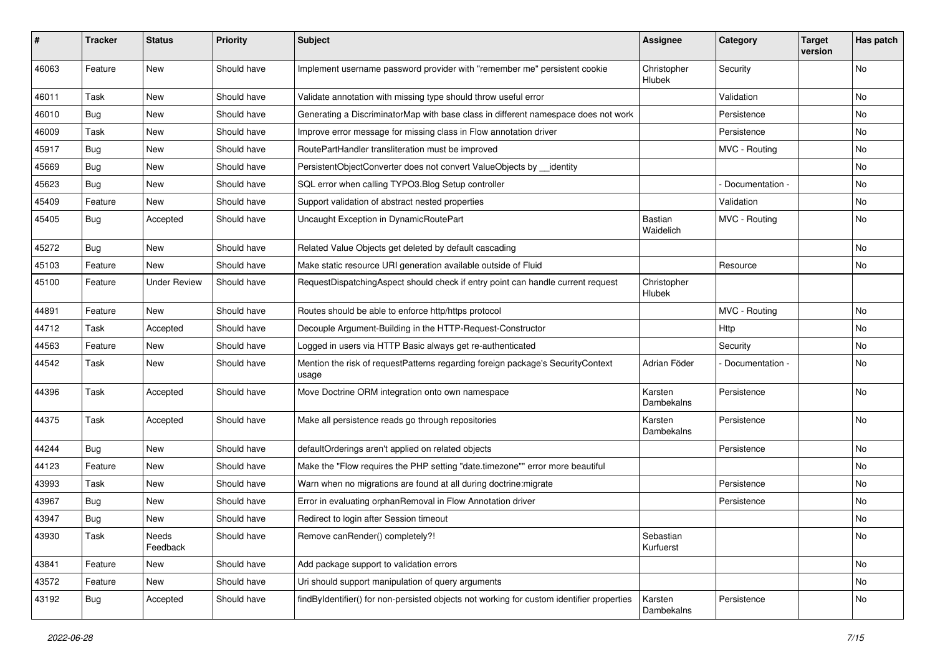| #     | <b>Tracker</b> | <b>Status</b>       | <b>Priority</b> | <b>Subject</b>                                                                            | <b>Assignee</b>             | Category        | <b>Target</b><br>version | Has patch |
|-------|----------------|---------------------|-----------------|-------------------------------------------------------------------------------------------|-----------------------------|-----------------|--------------------------|-----------|
| 46063 | Feature        | New                 | Should have     | Implement username password provider with "remember me" persistent cookie                 | Christopher<br>Hlubek       | Security        |                          | No        |
| 46011 | Task           | New                 | Should have     | Validate annotation with missing type should throw useful error                           |                             | Validation      |                          | No.       |
| 46010 | <b>Bug</b>     | <b>New</b>          | Should have     | Generating a DiscriminatorMap with base class in different namespace does not work        |                             | Persistence     |                          | No        |
| 46009 | Task           | New                 | Should have     | Improve error message for missing class in Flow annotation driver                         |                             | Persistence     |                          | No        |
| 45917 | Bug            | New                 | Should have     | RoutePartHandler transliteration must be improved                                         |                             | MVC - Routing   |                          | No.       |
| 45669 | <b>Bug</b>     | New                 | Should have     | PersistentObjectConverter does not convert ValueObjects by __identity                     |                             |                 |                          | No        |
| 45623 | Bug            | New                 | Should have     | SQL error when calling TYPO3.Blog Setup controller                                        |                             | Documentation - |                          | No        |
| 45409 | Feature        | New                 | Should have     | Support validation of abstract nested properties                                          |                             | Validation      |                          | No        |
| 45405 | Bug            | Accepted            | Should have     | Uncaught Exception in DynamicRoutePart                                                    | <b>Bastian</b><br>Waidelich | MVC - Routing   |                          | No        |
| 45272 | Bug            | <b>New</b>          | Should have     | Related Value Objects get deleted by default cascading                                    |                             |                 |                          | No        |
| 45103 | Feature        | New                 | Should have     | Make static resource URI generation available outside of Fluid                            |                             | Resource        |                          | No        |
| 45100 | Feature        | <b>Under Review</b> | Should have     | RequestDispatchingAspect should check if entry point can handle current request           | Christopher<br>Hlubek       |                 |                          |           |
| 44891 | Feature        | New                 | Should have     | Routes should be able to enforce http/https protocol                                      |                             | MVC - Routing   |                          | No        |
| 44712 | Task           | Accepted            | Should have     | Decouple Argument-Building in the HTTP-Request-Constructor                                |                             | Http            |                          | No        |
| 44563 | Feature        | New                 | Should have     | Logged in users via HTTP Basic always get re-authenticated                                |                             | Security        |                          | No        |
| 44542 | Task           | New                 | Should have     | Mention the risk of requestPatterns regarding foreign package's SecurityContext<br>usage  | Adrian Föder                | Documentation - |                          | No        |
| 44396 | Task           | Accepted            | Should have     | Move Doctrine ORM integration onto own namespace                                          | Karsten<br>Dambekalns       | Persistence     |                          | No        |
| 44375 | Task           | Accepted            | Should have     | Make all persistence reads go through repositories                                        | Karsten<br>Dambekalns       | Persistence     |                          | No        |
| 44244 | <b>Bug</b>     | <b>New</b>          | Should have     | defaultOrderings aren't applied on related objects                                        |                             | Persistence     |                          | <b>No</b> |
| 44123 | Feature        | New                 | Should have     | Make the "Flow requires the PHP setting "date.timezone"" error more beautiful             |                             |                 |                          | No        |
| 43993 | Task           | New                 | Should have     | Warn when no migrations are found at all during doctrine: migrate                         |                             | Persistence     |                          | No.       |
| 43967 | <b>Bug</b>     | New                 | Should have     | Error in evaluating orphanRemoval in Flow Annotation driver                               |                             | Persistence     |                          | No        |
| 43947 | Bug            | New                 | Should have     | Redirect to login after Session timeout                                                   |                             |                 |                          | No        |
| 43930 | Task           | Needs<br>Feedback   | Should have     | Remove canRender() completely?!                                                           | Sebastian<br>Kurfuerst      |                 |                          | No        |
| 43841 | Feature        | New                 | Should have     | Add package support to validation errors                                                  |                             |                 |                          | No        |
| 43572 | Feature        | New                 | Should have     | Uri should support manipulation of query arguments                                        |                             |                 |                          | No        |
| 43192 | <b>Bug</b>     | Accepted            | Should have     | findByIdentifier() for non-persisted objects not working for custom identifier properties | Karsten<br>Dambekalns       | Persistence     |                          | No        |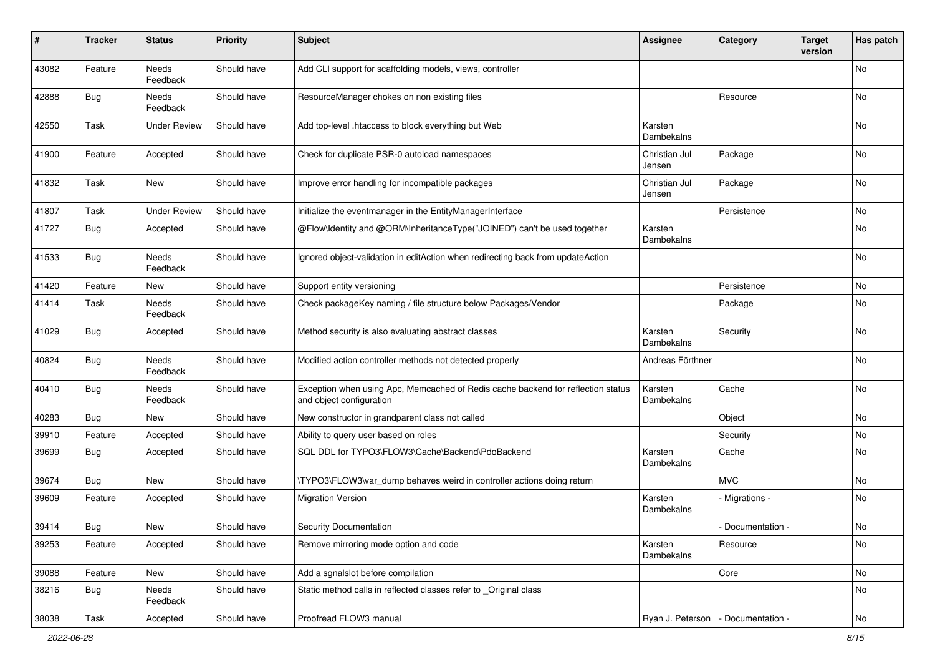| $\sharp$ | <b>Tracker</b> | <b>Status</b>       | <b>Priority</b> | <b>Subject</b>                                                                                               | <b>Assignee</b>         | Category          | <b>Target</b><br>version | Has patch     |
|----------|----------------|---------------------|-----------------|--------------------------------------------------------------------------------------------------------------|-------------------------|-------------------|--------------------------|---------------|
| 43082    | Feature        | Needs<br>Feedback   | Should have     | Add CLI support for scaffolding models, views, controller                                                    |                         |                   |                          | No            |
| 42888    | Bug            | Needs<br>Feedback   | Should have     | ResourceManager chokes on non existing files                                                                 |                         | Resource          |                          | No            |
| 42550    | Task           | <b>Under Review</b> | Should have     | Add top-level .htaccess to block everything but Web                                                          | Karsten<br>Dambekalns   |                   |                          | No            |
| 41900    | Feature        | Accepted            | Should have     | Check for duplicate PSR-0 autoload namespaces                                                                | Christian Jul<br>Jensen | Package           |                          | No            |
| 41832    | Task           | New                 | Should have     | Improve error handling for incompatible packages                                                             | Christian Jul<br>Jensen | Package           |                          | No            |
| 41807    | Task           | <b>Under Review</b> | Should have     | Initialize the eventmanager in the EntityManagerInterface                                                    |                         | Persistence       |                          | No            |
| 41727    | Bug            | Accepted            | Should have     | @Flow\Identity and @ORM\InheritanceType("JOINED") can't be used together                                     | Karsten<br>Dambekalns   |                   |                          | No            |
| 41533    | <b>Bug</b>     | Needs<br>Feedback   | Should have     | Ignored object-validation in editAction when redirecting back from updateAction                              |                         |                   |                          | No            |
| 41420    | Feature        | New                 | Should have     | Support entity versioning                                                                                    |                         | Persistence       |                          | No            |
| 41414    | Task           | Needs<br>Feedback   | Should have     | Check packageKey naming / file structure below Packages/Vendor                                               |                         | Package           |                          | No            |
| 41029    | <b>Bug</b>     | Accepted            | Should have     | Method security is also evaluating abstract classes                                                          | Karsten<br>Dambekalns   | Security          |                          | No            |
| 40824    | <b>Bug</b>     | Needs<br>Feedback   | Should have     | Modified action controller methods not detected properly                                                     | Andreas Förthner        |                   |                          | No            |
| 40410    | <b>Bug</b>     | Needs<br>Feedback   | Should have     | Exception when using Apc, Memcached of Redis cache backend for reflection status<br>and object configuration | Karsten<br>Dambekalns   | Cache             |                          | No            |
| 40283    | <b>Bug</b>     | New                 | Should have     | New constructor in grandparent class not called                                                              |                         | Object            |                          | No            |
| 39910    | Feature        | Accepted            | Should have     | Ability to query user based on roles                                                                         |                         | Security          |                          | No            |
| 39699    | <b>Bug</b>     | Accepted            | Should have     | SQL DDL for TYPO3\FLOW3\Cache\Backend\PdoBackend                                                             | Karsten<br>Dambekalns   | Cache             |                          | No            |
| 39674    | <b>Bug</b>     | New                 | Should have     | \TYPO3\FLOW3\var_dump behaves weird in controller actions doing return                                       |                         | <b>MVC</b>        |                          | No            |
| 39609    | Feature        | Accepted            | Should have     | <b>Migration Version</b>                                                                                     | Karsten<br>Dambekalns   | - Migrations -    |                          | No            |
| 39414    | Bug            | New                 | Should have     | <b>Security Documentation</b>                                                                                |                         | Documentation -   |                          | No            |
| 39253    | Feature        | Accepted            | Should have     | Remove mirroring mode option and code                                                                        | Karsten<br>Dambekalns   | Resource          |                          | No            |
| 39088    | Feature        | New                 | Should have     | Add a sgnalslot before compilation                                                                           |                         | Core              |                          | No            |
| 38216    | <b>Bug</b>     | Needs<br>Feedback   | Should have     | Static method calls in reflected classes refer to Original class                                             |                         |                   |                          | No            |
| 38038    | Task           | Accepted            | Should have     | Proofread FLOW3 manual                                                                                       | Ryan J. Peterson        | - Documentation - |                          | $\mathsf{No}$ |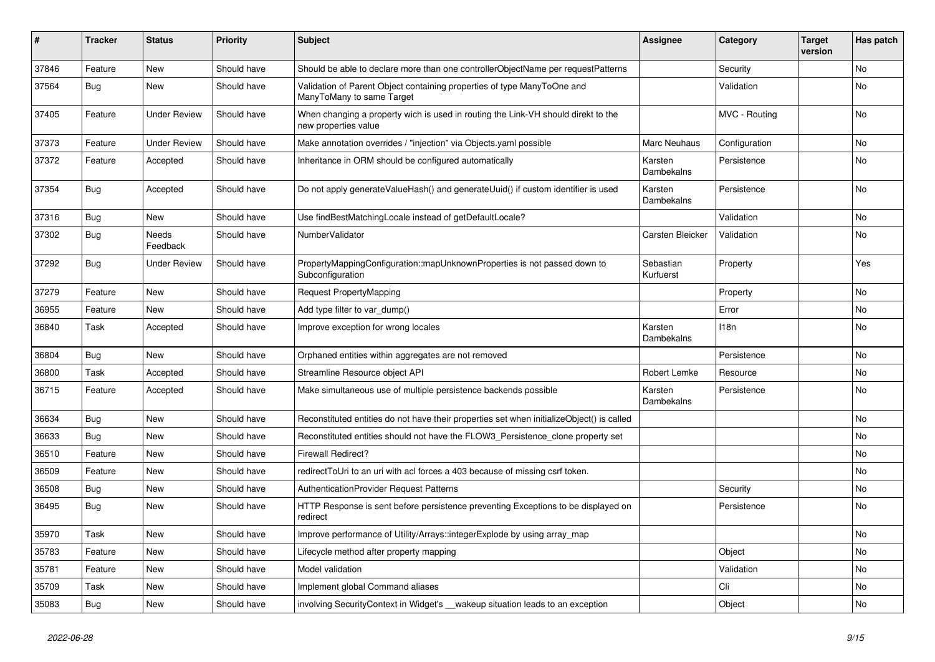| ∦     | <b>Tracker</b> | <b>Status</b>       | <b>Priority</b> | <b>Subject</b>                                                                                            | <b>Assignee</b>        | Category      | <b>Target</b><br>version | Has patch |
|-------|----------------|---------------------|-----------------|-----------------------------------------------------------------------------------------------------------|------------------------|---------------|--------------------------|-----------|
| 37846 | Feature        | <b>New</b>          | Should have     | Should be able to declare more than one controllerObjectName per requestPatterns                          |                        | Security      |                          | <b>No</b> |
| 37564 | <b>Bug</b>     | <b>New</b>          | Should have     | Validation of Parent Object containing properties of type ManyToOne and<br>ManyToMany to same Target      |                        | Validation    |                          | <b>No</b> |
| 37405 | Feature        | <b>Under Review</b> | Should have     | When changing a property wich is used in routing the Link-VH should direkt to the<br>new properties value |                        | MVC - Routing |                          | No        |
| 37373 | Feature        | <b>Under Review</b> | Should have     | Make annotation overrides / "injection" via Objects.yaml possible                                         | Marc Neuhaus           | Configuration |                          | No        |
| 37372 | Feature        | Accepted            | Should have     | Inheritance in ORM should be configured automatically                                                     | Karsten<br>Dambekalns  | Persistence   |                          | No        |
| 37354 | <b>Bug</b>     | Accepted            | Should have     | Do not apply generateValueHash() and generateUuid() if custom identifier is used                          | Karsten<br>Dambekalns  | Persistence   |                          | <b>No</b> |
| 37316 | Bug            | <b>New</b>          | Should have     | Use findBestMatchingLocale instead of getDefaultLocale?                                                   |                        | Validation    |                          | <b>No</b> |
| 37302 | Bug            | Needs<br>Feedback   | Should have     | NumberValidator                                                                                           | Carsten Bleicker       | Validation    |                          | No        |
| 37292 | <b>Bug</b>     | <b>Under Review</b> | Should have     | PropertyMappingConfiguration::mapUnknownProperties is not passed down to<br>Subconfiguration              | Sebastian<br>Kurfuerst | Property      |                          | Yes       |
| 37279 | Feature        | <b>New</b>          | Should have     | <b>Request PropertyMapping</b>                                                                            |                        | Property      |                          | No        |
| 36955 | Feature        | New                 | Should have     | Add type filter to var dump()                                                                             |                        | Error         |                          | No        |
| 36840 | Task           | Accepted            | Should have     | Improve exception for wrong locales                                                                       | Karsten<br>Dambekalns  | 118n          |                          | No        |
| 36804 | <b>Bug</b>     | <b>New</b>          | Should have     | Orphaned entities within aggregates are not removed                                                       |                        | Persistence   |                          | No        |
| 36800 | Task           | Accepted            | Should have     | Streamline Resource object API                                                                            | Robert Lemke           | Resource      |                          | No        |
| 36715 | Feature        | Accepted            | Should have     | Make simultaneous use of multiple persistence backends possible                                           | Karsten<br>Dambekalns  | Persistence   |                          | <b>No</b> |
| 36634 | Bug            | <b>New</b>          | Should have     | Reconstituted entities do not have their properties set when initializeObject() is called                 |                        |               |                          | <b>No</b> |
| 36633 | Bug            | <b>New</b>          | Should have     | Reconstituted entities should not have the FLOW3 Persistence clone property set                           |                        |               |                          | No        |
| 36510 | Feature        | <b>New</b>          | Should have     | <b>Firewall Redirect?</b>                                                                                 |                        |               |                          | No        |
| 36509 | Feature        | <b>New</b>          | Should have     | redirectToUri to an uri with acl forces a 403 because of missing csrf token.                              |                        |               |                          | <b>No</b> |
| 36508 | Bug            | <b>New</b>          | Should have     | AuthenticationProvider Request Patterns                                                                   |                        | Security      |                          | <b>No</b> |
| 36495 | <b>Bug</b>     | <b>New</b>          | Should have     | HTTP Response is sent before persistence preventing Exceptions to be displayed on<br>redirect             |                        | Persistence   |                          | <b>No</b> |
| 35970 | Task           | <b>New</b>          | Should have     | Improve performance of Utility/Arrays::integerExplode by using array_map                                  |                        |               |                          | No        |
| 35783 | Feature        | <b>New</b>          | Should have     | Lifecycle method after property mapping                                                                   |                        | Object        |                          | No        |
| 35781 | Feature        | <b>New</b>          | Should have     | Model validation                                                                                          |                        | Validation    |                          | No        |
| 35709 | Task           | <b>New</b>          | Should have     | Implement global Command aliases                                                                          |                        | Cli           |                          | No        |
| 35083 | <b>Bug</b>     | <b>New</b>          | Should have     | involving SecurityContext in Widget's __wakeup situation leads to an exception                            |                        | Object        |                          | No        |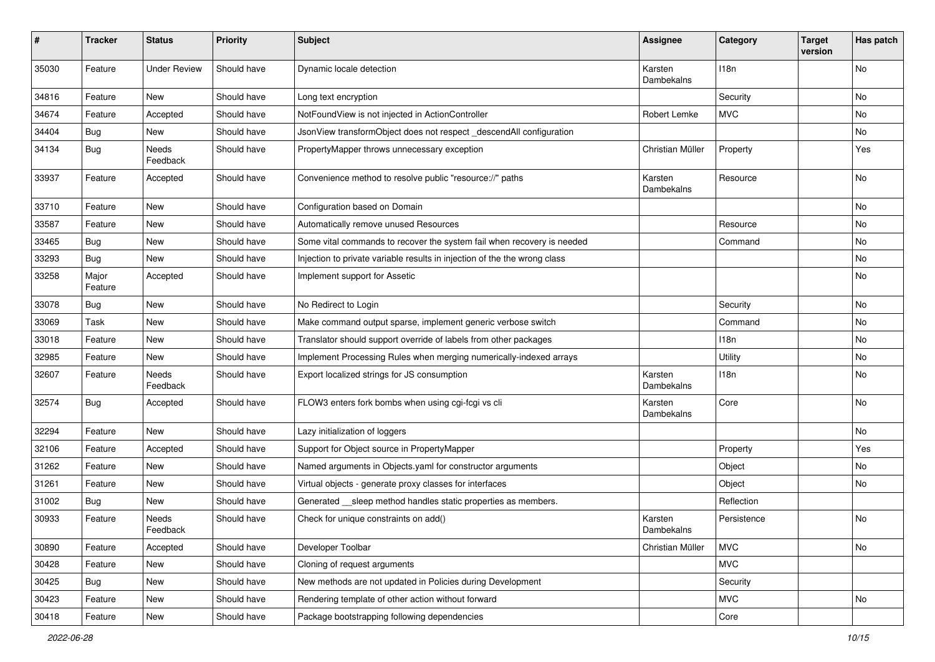| #     | <b>Tracker</b>   | <b>Status</b>            | <b>Priority</b> | <b>Subject</b>                                                            | <b>Assignee</b>       | Category    | <b>Target</b><br>version | Has patch |
|-------|------------------|--------------------------|-----------------|---------------------------------------------------------------------------|-----------------------|-------------|--------------------------|-----------|
| 35030 | Feature          | <b>Under Review</b>      | Should have     | Dynamic locale detection                                                  | Karsten<br>Dambekalns | 118n        |                          | No        |
| 34816 | Feature          | New                      | Should have     | Long text encryption                                                      |                       | Security    |                          | No        |
| 34674 | Feature          | Accepted                 | Should have     | NotFoundView is not injected in ActionController                          | Robert Lemke          | <b>MVC</b>  |                          | No        |
| 34404 | Bug              | New                      | Should have     | JsonView transformObject does not respect descendAll configuration        |                       |             |                          | No        |
| 34134 | <b>Bug</b>       | <b>Needs</b><br>Feedback | Should have     | PropertyMapper throws unnecessary exception                               | Christian Müller      | Property    |                          | Yes       |
| 33937 | Feature          | Accepted                 | Should have     | Convenience method to resolve public "resource://" paths                  | Karsten<br>Dambekalns | Resource    |                          | No        |
| 33710 | Feature          | <b>New</b>               | Should have     | Configuration based on Domain                                             |                       |             |                          | <b>No</b> |
| 33587 | Feature          | New                      | Should have     | Automatically remove unused Resources                                     |                       | Resource    |                          | No        |
| 33465 | Bug              | New                      | Should have     | Some vital commands to recover the system fail when recovery is needed    |                       | Command     |                          | No        |
| 33293 | <b>Bug</b>       | New                      | Should have     | Injection to private variable results in injection of the the wrong class |                       |             |                          | No        |
| 33258 | Major<br>Feature | Accepted                 | Should have     | Implement support for Assetic                                             |                       |             |                          | No        |
| 33078 | <b>Bug</b>       | New                      | Should have     | No Redirect to Login                                                      |                       | Security    |                          | No        |
| 33069 | Task             | New                      | Should have     | Make command output sparse, implement generic verbose switch              |                       | Command     |                          | No        |
| 33018 | Feature          | New                      | Should have     | Translator should support override of labels from other packages          |                       | 118n        |                          | No        |
| 32985 | Feature          | New                      | Should have     | Implement Processing Rules when merging numerically-indexed arrays        |                       | Utility     |                          | No        |
| 32607 | Feature          | <b>Needs</b><br>Feedback | Should have     | Export localized strings for JS consumption                               | Karsten<br>Dambekalns | 118n        |                          | No        |
| 32574 | <b>Bug</b>       | Accepted                 | Should have     | FLOW3 enters fork bombs when using cgi-fcgi vs cli                        | Karsten<br>Dambekalns | Core        |                          | No        |
| 32294 | Feature          | New                      | Should have     | Lazy initialization of loggers                                            |                       |             |                          | <b>No</b> |
| 32106 | Feature          | Accepted                 | Should have     | Support for Object source in PropertyMapper                               |                       | Property    |                          | Yes       |
| 31262 | Feature          | New                      | Should have     | Named arguments in Objects.yaml for constructor arguments                 |                       | Object      |                          | No        |
| 31261 | Feature          | New                      | Should have     | Virtual objects - generate proxy classes for interfaces                   |                       | Object      |                          | No        |
| 31002 | <b>Bug</b>       | New                      | Should have     | Generated __sleep method handles static properties as members.            |                       | Reflection  |                          |           |
| 30933 | Feature          | Needs<br>Feedback        | Should have     | Check for unique constraints on add()                                     | Karsten<br>Dambekalns | Persistence |                          | No        |
| 30890 | Feature          | Accepted                 | Should have     | Developer Toolbar                                                         | Christian Müller      | <b>MVC</b>  |                          | No        |
| 30428 | Feature          | New                      | Should have     | Cloning of request arguments                                              |                       | <b>MVC</b>  |                          |           |
| 30425 | Bug              | New                      | Should have     | New methods are not updated in Policies during Development                |                       | Security    |                          |           |
| 30423 | Feature          | New                      | Should have     | Rendering template of other action without forward                        |                       | MVC         |                          | No        |
| 30418 | Feature          | New                      | Should have     | Package bootstrapping following dependencies                              |                       | Core        |                          |           |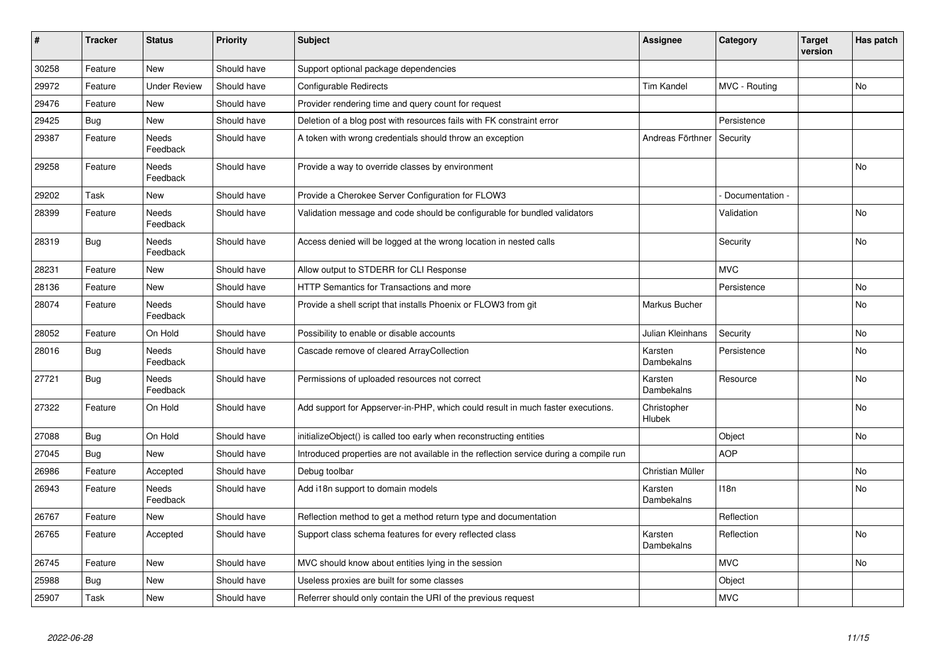| $\vert$ # | <b>Tracker</b> | <b>Status</b>            | <b>Priority</b> | <b>Subject</b>                                                                         | <b>Assignee</b>       | Category        | <b>Target</b><br>version | Has patch      |
|-----------|----------------|--------------------------|-----------------|----------------------------------------------------------------------------------------|-----------------------|-----------------|--------------------------|----------------|
| 30258     | Feature        | <b>New</b>               | Should have     | Support optional package dependencies                                                  |                       |                 |                          |                |
| 29972     | Feature        | <b>Under Review</b>      | Should have     | Configurable Redirects                                                                 | Tim Kandel            | MVC - Routing   |                          | No             |
| 29476     | Feature        | <b>New</b>               | Should have     | Provider rendering time and query count for request                                    |                       |                 |                          |                |
| 29425     | <b>Bug</b>     | <b>New</b>               | Should have     | Deletion of a blog post with resources fails with FK constraint error                  |                       | Persistence     |                          |                |
| 29387     | Feature        | Needs<br>Feedback        | Should have     | A token with wrong credentials should throw an exception                               | Andreas Förthner      | Security        |                          |                |
| 29258     | Feature        | Needs<br>Feedback        | Should have     | Provide a way to override classes by environment                                       |                       |                 |                          | No             |
| 29202     | Task           | <b>New</b>               | Should have     | Provide a Cherokee Server Configuration for FLOW3                                      |                       | Documentation - |                          |                |
| 28399     | Feature        | Needs<br>Feedback        | Should have     | Validation message and code should be configurable for bundled validators              |                       | Validation      |                          | No             |
| 28319     | <b>Bug</b>     | Needs<br>Feedback        | Should have     | Access denied will be logged at the wrong location in nested calls                     |                       | Security        |                          | No             |
| 28231     | Feature        | <b>New</b>               | Should have     | Allow output to STDERR for CLI Response                                                |                       | <b>MVC</b>      |                          |                |
| 28136     | Feature        | <b>New</b>               | Should have     | <b>HTTP Semantics for Transactions and more</b>                                        |                       | Persistence     |                          | No             |
| 28074     | Feature        | <b>Needs</b><br>Feedback | Should have     | Provide a shell script that installs Phoenix or FLOW3 from git                         | Markus Bucher         |                 |                          | <b>No</b>      |
| 28052     | Feature        | On Hold                  | Should have     | Possibility to enable or disable accounts                                              | Julian Kleinhans      | Security        |                          | N <sub>o</sub> |
| 28016     | <b>Bug</b>     | <b>Needs</b><br>Feedback | Should have     | Cascade remove of cleared ArrayCollection                                              | Karsten<br>Dambekalns | Persistence     |                          | <b>No</b>      |
| 27721     | <b>Bug</b>     | <b>Needs</b><br>Feedback | Should have     | Permissions of uploaded resources not correct                                          | Karsten<br>Dambekalns | Resource        |                          | No.            |
| 27322     | Feature        | On Hold                  | Should have     | Add support for Appserver-in-PHP, which could result in much faster executions.        | Christopher<br>Hlubek |                 |                          | No.            |
| 27088     | <b>Bug</b>     | On Hold                  | Should have     | initializeObject() is called too early when reconstructing entities                    |                       | Object          |                          | No             |
| 27045     | <b>Bug</b>     | <b>New</b>               | Should have     | Introduced properties are not available in the reflection service during a compile run |                       | <b>AOP</b>      |                          |                |
| 26986     | Feature        | Accepted                 | Should have     | Debug toolbar                                                                          | Christian Müller      |                 |                          | No             |
| 26943     | Feature        | <b>Needs</b><br>Feedback | Should have     | Add i18n support to domain models                                                      | Karsten<br>Dambekalns | 118n            |                          | No             |
| 26767     | Feature        | New                      | Should have     | Reflection method to get a method return type and documentation                        |                       | Reflection      |                          |                |
| 26765     | Feature        | Accepted                 | Should have     | Support class schema features for every reflected class                                | Karsten<br>Dambekalns | Reflection      |                          | No             |
| 26745     | Feature        | <b>New</b>               | Should have     | MVC should know about entities lying in the session                                    |                       | <b>MVC</b>      |                          | No             |
| 25988     | Bug            | <b>New</b>               | Should have     | Useless proxies are built for some classes                                             |                       | Object          |                          |                |
| 25907     | Task           | <b>New</b>               | Should have     | Referrer should only contain the URI of the previous request                           |                       | <b>MVC</b>      |                          |                |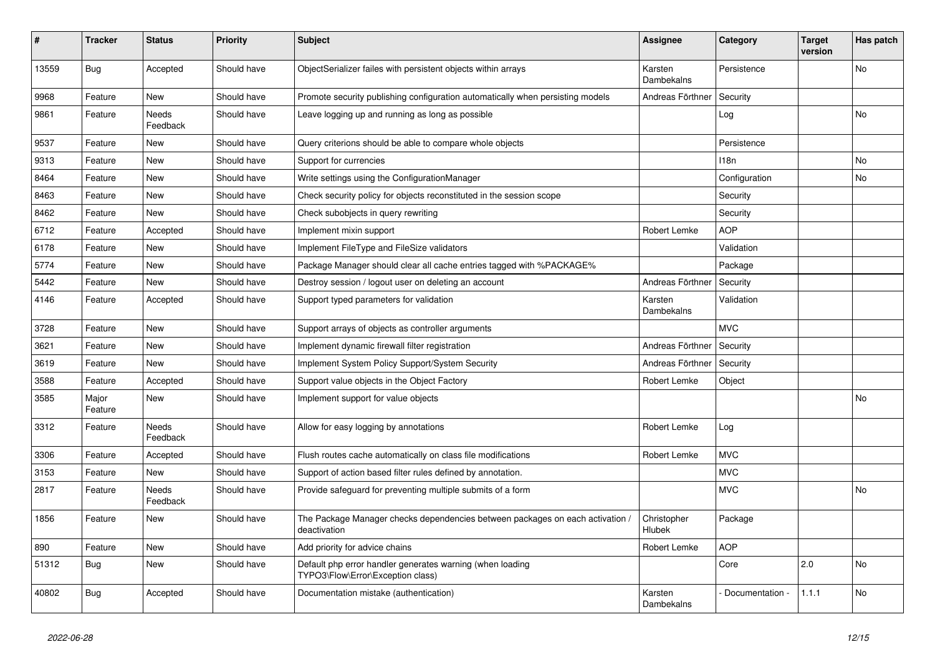| #     | <b>Tracker</b>   | <b>Status</b>            | <b>Priority</b> | <b>Subject</b>                                                                                 | <b>Assignee</b>       | Category        | <b>Target</b><br>version | Has patch |
|-------|------------------|--------------------------|-----------------|------------------------------------------------------------------------------------------------|-----------------------|-----------------|--------------------------|-----------|
| 13559 | <b>Bug</b>       | Accepted                 | Should have     | ObjectSerializer failes with persistent objects within arrays                                  | Karsten<br>Dambekalns | Persistence     |                          | No        |
| 9968  | Feature          | <b>New</b>               | Should have     | Promote security publishing configuration automatically when persisting models                 | Andreas Förthner      | Security        |                          |           |
| 9861  | Feature          | <b>Needs</b><br>Feedback | Should have     | Leave logging up and running as long as possible                                               |                       | Log             |                          | No        |
| 9537  | Feature          | <b>New</b>               | Should have     | Query criterions should be able to compare whole objects                                       |                       | Persistence     |                          |           |
| 9313  | Feature          | <b>New</b>               | Should have     | Support for currencies                                                                         |                       | 118n            |                          | No        |
| 8464  | Feature          | <b>New</b>               | Should have     | Write settings using the ConfigurationManager                                                  |                       | Configuration   |                          | No        |
| 8463  | Feature          | <b>New</b>               | Should have     | Check security policy for objects reconstituted in the session scope                           |                       | Security        |                          |           |
| 8462  | Feature          | <b>New</b>               | Should have     | Check subobjects in query rewriting                                                            |                       | Security        |                          |           |
| 6712  | Feature          | Accepted                 | Should have     | Implement mixin support                                                                        | Robert Lemke          | <b>AOP</b>      |                          |           |
| 6178  | Feature          | <b>New</b>               | Should have     | Implement FileType and FileSize validators                                                     |                       | Validation      |                          |           |
| 5774  | Feature          | <b>New</b>               | Should have     | Package Manager should clear all cache entries tagged with %PACKAGE%                           |                       | Package         |                          |           |
| 5442  | Feature          | <b>New</b>               | Should have     | Destroy session / logout user on deleting an account                                           | Andreas Förthner      | Security        |                          |           |
| 4146  | Feature          | Accepted                 | Should have     | Support typed parameters for validation                                                        | Karsten<br>Dambekalns | Validation      |                          |           |
| 3728  | Feature          | <b>New</b>               | Should have     | Support arrays of objects as controller arguments                                              |                       | <b>MVC</b>      |                          |           |
| 3621  | Feature          | <b>New</b>               | Should have     | Implement dynamic firewall filter registration                                                 | Andreas Förthner      | Security        |                          |           |
| 3619  | Feature          | <b>New</b>               | Should have     | Implement System Policy Support/System Security                                                | Andreas Förthner      | Security        |                          |           |
| 3588  | Feature          | Accepted                 | Should have     | Support value objects in the Object Factory                                                    | Robert Lemke          | Object          |                          |           |
| 3585  | Major<br>Feature | <b>New</b>               | Should have     | Implement support for value objects                                                            |                       |                 |                          | No        |
| 3312  | Feature          | Needs<br>Feedback        | Should have     | Allow for easy logging by annotations                                                          | Robert Lemke          | Log             |                          |           |
| 3306  | Feature          | Accepted                 | Should have     | Flush routes cache automatically on class file modifications                                   | Robert Lemke          | <b>MVC</b>      |                          |           |
| 3153  | Feature          | <b>New</b>               | Should have     | Support of action based filter rules defined by annotation.                                    |                       | <b>MVC</b>      |                          |           |
| 2817  | Feature          | Needs<br>Feedback        | Should have     | Provide safeguard for preventing multiple submits of a form                                    |                       | <b>MVC</b>      |                          | No        |
| 1856  | Feature          | <b>New</b>               | Should have     | The Package Manager checks dependencies between packages on each activation /<br>deactivation  | Christopher<br>Hlubek | Package         |                          |           |
| 890   | Feature          | <b>New</b>               | Should have     | Add priority for advice chains                                                                 | Robert Lemke          | <b>AOP</b>      |                          |           |
| 51312 | <b>Bug</b>       | <b>New</b>               | Should have     | Default php error handler generates warning (when loading<br>TYPO3\Flow\Error\Exception class) |                       | Core            | 2.0                      | No        |
| 40802 | <b>Bug</b>       | Accepted                 | Should have     | Documentation mistake (authentication)                                                         | Karsten<br>Dambekalns | Documentation - | 1.1.1                    | No        |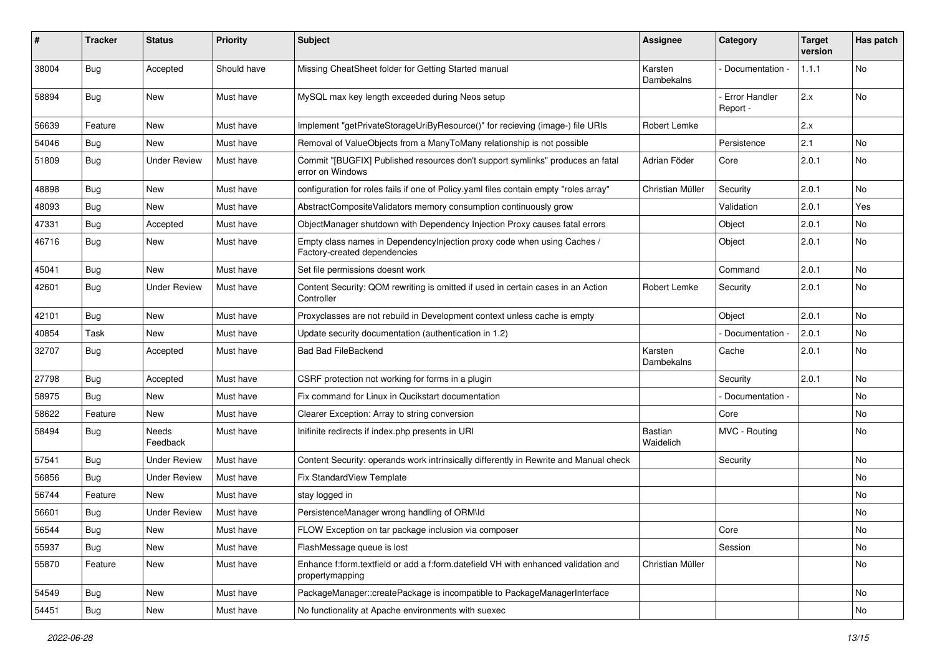| #     | Tracker    | <b>Status</b>       | <b>Priority</b> | <b>Subject</b>                                                                                          | Assignee              | Category                         | <b>Target</b><br>version | Has patch |
|-------|------------|---------------------|-----------------|---------------------------------------------------------------------------------------------------------|-----------------------|----------------------------------|--------------------------|-----------|
| 38004 | <b>Bug</b> | Accepted            | Should have     | Missing CheatSheet folder for Getting Started manual                                                    | Karsten<br>Dambekalns | Documentation -                  | 1.1.1                    | No        |
| 58894 | Bug        | New                 | Must have       | MySQL max key length exceeded during Neos setup                                                         |                       | <b>Error Handler</b><br>Report - | 2.x                      | No        |
| 56639 | Feature    | New                 | Must have       | Implement "getPrivateStorageUriByResource()" for recieving (image-) file URIs                           | Robert Lemke          |                                  | 2.x                      |           |
| 54046 | <b>Bug</b> | New                 | Must have       | Removal of ValueObjects from a ManyToMany relationship is not possible                                  |                       | Persistence                      | 2.1                      | <b>No</b> |
| 51809 | Bug        | <b>Under Review</b> | Must have       | Commit "[BUGFIX] Published resources don't support symlinks" produces an fatal<br>error on Windows      | Adrian Föder          | Core                             | 2.0.1                    | No        |
| 48898 | <b>Bug</b> | New                 | Must have       | configuration for roles fails if one of Policy yaml files contain empty "roles array"                   | Christian Müller      | Security                         | 2.0.1                    | <b>No</b> |
| 48093 | <b>Bug</b> | New                 | Must have       | AbstractCompositeValidators memory consumption continuously grow                                        |                       | Validation                       | 2.0.1                    | Yes       |
| 47331 | Bug        | Accepted            | Must have       | ObjectManager shutdown with Dependency Injection Proxy causes fatal errors                              |                       | Object                           | 2.0.1                    | No        |
| 46716 | <b>Bug</b> | New                 | Must have       | Empty class names in DependencyInjection proxy code when using Caches /<br>Factory-created dependencies |                       | Object                           | 2.0.1                    | No        |
| 45041 | <b>Bug</b> | New                 | Must have       | Set file permissions doesnt work                                                                        |                       | Command                          | 2.0.1                    | <b>No</b> |
| 42601 | <b>Bug</b> | <b>Under Review</b> | Must have       | Content Security: QOM rewriting is omitted if used in certain cases in an Action<br>Controller          | Robert Lemke          | Security                         | 2.0.1                    | No        |
| 42101 | <b>Bug</b> | <b>New</b>          | Must have       | Proxyclasses are not rebuild in Development context unless cache is empty                               |                       | Object                           | 2.0.1                    | <b>No</b> |
| 40854 | Task       | New                 | Must have       | Update security documentation (authentication in 1.2)                                                   |                       | Documentation -                  | 2.0.1                    | <b>No</b> |
| 32707 | <b>Bug</b> | Accepted            | Must have       | <b>Bad Bad FileBackend</b>                                                                              | Karsten<br>Dambekalns | Cache                            | 2.0.1                    | No        |
| 27798 | <b>Bug</b> | Accepted            | Must have       | CSRF protection not working for forms in a plugin                                                       |                       | Security                         | 2.0.1                    | <b>No</b> |
| 58975 | Bug        | New                 | Must have       | Fix command for Linux in Qucikstart documentation                                                       |                       | Documentation -                  |                          | No        |
| 58622 | Feature    | New                 | Must have       | Clearer Exception: Array to string conversion                                                           |                       | Core                             |                          | No        |
| 58494 | <b>Bug</b> | Needs<br>Feedback   | Must have       | Inifinite redirects if index.php presents in URI                                                        | Bastian<br>Waidelich  | MVC - Routing                    |                          | No        |
| 57541 | <b>Bug</b> | Under Review        | Must have       | Content Security: operands work intrinsically differently in Rewrite and Manual check                   |                       | Security                         |                          | No        |
| 56856 | Bug        | <b>Under Review</b> | Must have       | Fix StandardView Template                                                                               |                       |                                  |                          | No        |
| 56744 | Feature    | New                 | Must have       | stay logged in                                                                                          |                       |                                  |                          | No        |
| 56601 | <b>Bug</b> | Under Review        | Must have       | PersistenceManager wrong handling of ORM\ld                                                             |                       |                                  |                          | No        |
| 56544 | <b>Bug</b> | New                 | Must have       | FLOW Exception on tar package inclusion via composer                                                    |                       | Core                             |                          | No        |
| 55937 | Bug        | New                 | Must have       | FlashMessage queue is lost                                                                              |                       | Session                          |                          | No        |
| 55870 | Feature    | New                 | Must have       | Enhance f:form.textfield or add a f:form.datefield VH with enhanced validation and<br>propertymapping   | Christian Müller      |                                  |                          | No        |
| 54549 | <b>Bug</b> | New                 | Must have       | PackageManager::createPackage is incompatible to PackageManagerInterface                                |                       |                                  |                          | No        |
| 54451 | Bug        | New                 | Must have       | No functionality at Apache environments with suexec                                                     |                       |                                  |                          | No        |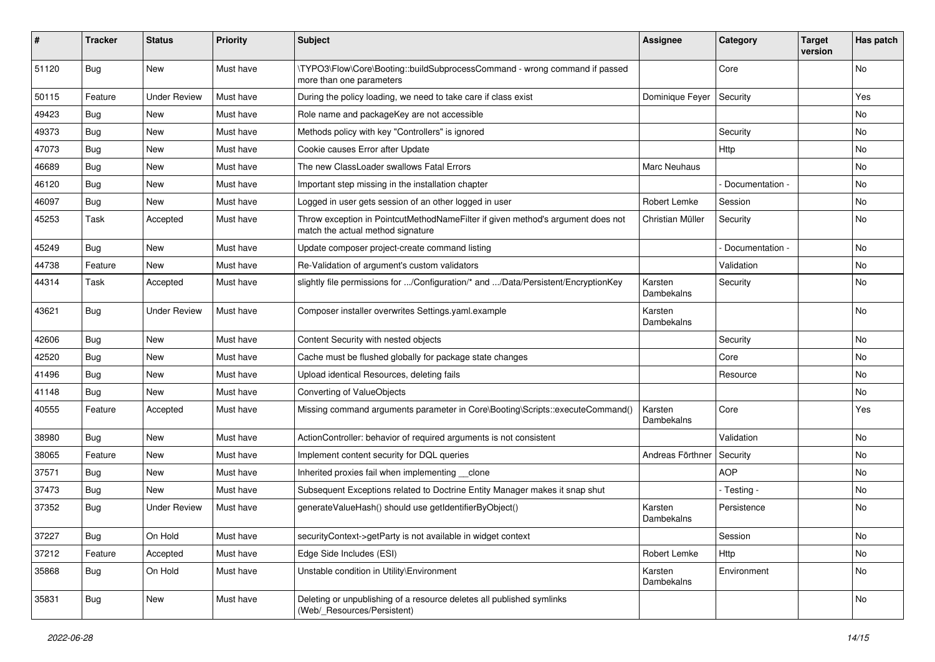| #     | <b>Tracker</b> | <b>Status</b>       | <b>Priority</b> | <b>Subject</b>                                                                                                       | <b>Assignee</b>       | Category        | <b>Target</b><br>version | Has patch |
|-------|----------------|---------------------|-----------------|----------------------------------------------------------------------------------------------------------------------|-----------------------|-----------------|--------------------------|-----------|
| 51120 | Bug            | New                 | Must have       | \TYPO3\Flow\Core\Booting::buildSubprocessCommand - wrong command if passed<br>more than one parameters               |                       | Core            |                          | No        |
| 50115 | Feature        | <b>Under Review</b> | Must have       | During the policy loading, we need to take care if class exist                                                       | Dominique Feyer       | Security        |                          | Yes       |
| 49423 | Bug            | New                 | Must have       | Role name and packageKey are not accessible                                                                          |                       |                 |                          | No        |
| 49373 | Bug            | New                 | Must have       | Methods policy with key "Controllers" is ignored                                                                     |                       | Security        |                          | No.       |
| 47073 | <b>Bug</b>     | New                 | Must have       | Cookie causes Error after Update                                                                                     |                       | Http            |                          | No.       |
| 46689 | <b>Bug</b>     | New                 | Must have       | The new ClassLoader swallows Fatal Errors                                                                            | Marc Neuhaus          |                 |                          | No        |
| 46120 | <b>Bug</b>     | New                 | Must have       | Important step missing in the installation chapter                                                                   |                       | Documentation - |                          | No        |
| 46097 | <b>Bug</b>     | New                 | Must have       | Logged in user gets session of an other logged in user                                                               | Robert Lemke          | Session         |                          | No        |
| 45253 | Task           | Accepted            | Must have       | Throw exception in PointcutMethodNameFilter if given method's argument does not<br>match the actual method signature | Christian Müller      | Security        |                          | No        |
| 45249 | <b>Bug</b>     | <b>New</b>          | Must have       | Update composer project-create command listing                                                                       |                       | Documentation - |                          | <b>No</b> |
| 44738 | Feature        | New                 | Must have       | Re-Validation of argument's custom validators                                                                        |                       | Validation      |                          | No        |
| 44314 | Task           | Accepted            | Must have       | slightly file permissions for /Configuration/* and /Data/Persistent/EncryptionKey                                    | Karsten<br>Dambekalns | Security        |                          | No        |
| 43621 | <b>Bug</b>     | <b>Under Review</b> | Must have       | Composer installer overwrites Settings.yaml.example                                                                  | Karsten<br>Dambekalns |                 |                          | No        |
| 42606 | <b>Bug</b>     | New                 | Must have       | Content Security with nested objects                                                                                 |                       | Security        |                          | No        |
| 42520 | Bug            | New                 | Must have       | Cache must be flushed globally for package state changes                                                             |                       | Core            |                          | No        |
| 41496 | Bug            | <b>New</b>          | Must have       | Upload identical Resources, deleting fails                                                                           |                       | Resource        |                          | No        |
| 41148 | Bug            | New                 | Must have       | <b>Converting of ValueObjects</b>                                                                                    |                       |                 |                          | No        |
| 40555 | Feature        | Accepted            | Must have       | Missing command arguments parameter in Core\Booting\Scripts::executeCommand()                                        | Karsten<br>Dambekalns | Core            |                          | Yes       |
| 38980 | <b>Bug</b>     | New                 | Must have       | ActionController: behavior of required arguments is not consistent                                                   |                       | Validation      |                          | <b>No</b> |
| 38065 | Feature        | New                 | Must have       | Implement content security for DQL queries                                                                           | Andreas Förthner      | Security        |                          | No        |
| 37571 | <b>Bug</b>     | New                 | Must have       | Inherited proxies fail when implementing clone                                                                       |                       | <b>AOP</b>      |                          | No        |
| 37473 | Bug            | New                 | Must have       | Subsequent Exceptions related to Doctrine Entity Manager makes it snap shut                                          |                       | - Testing -     |                          | No        |
| 37352 | <b>Bug</b>     | <b>Under Review</b> | Must have       | generateValueHash() should use getIdentifierByObject()                                                               | Karsten<br>Dambekalns | Persistence     |                          | No        |
| 37227 | <b>Bug</b>     | On Hold             | Must have       | securityContext->getParty is not available in widget context                                                         |                       | Session         |                          | No        |
| 37212 | Feature        | Accepted            | Must have       | Edge Side Includes (ESI)                                                                                             | Robert Lemke          | Http            |                          | No        |
| 35868 | <b>Bug</b>     | On Hold             | Must have       | Unstable condition in Utility\Environment                                                                            | Karsten<br>Dambekalns | Environment     |                          | No        |
| 35831 | <b>Bug</b>     | New                 | Must have       | Deleting or unpublishing of a resource deletes all published symlinks<br>(Web/_Resources/Persistent)                 |                       |                 |                          | No        |